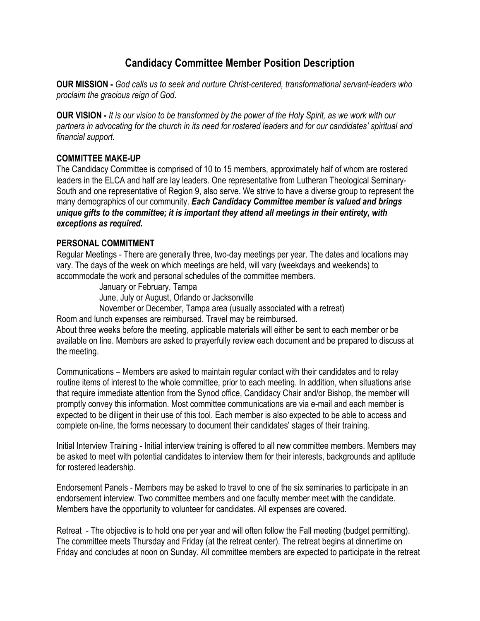## **Candidacy Committee Member Position Description**

**OUR MISSION -** *God calls us to seek and nurture Christ-centered, transformational servant-leaders who proclaim the gracious reign of God*.

**OUR VISION -** *It is our vision to be transformed by the power of the Holy Spirit, as we work with our partners in advocating for the church in its need for rostered leaders and for our candidates' spiritual and financial support.*

## **COMMITTEE MAKE-UP**

The Candidacy Committee is comprised of 10 to 15 members, approximately half of whom are rostered leaders in the ELCA and half are lay leaders. One representative from Lutheran Theological Seminary-South and one representative of Region 9, also serve. We strive to have a diverse group to represent the many demographics of our community. *Each Candidacy Committee member is valued and brings unique gifts to the committee; it is important they attend all meetings in their entirety, with exceptions as required.*

## **PERSONAL COMMITMENT**

Regular Meetings - There are generally three, two-day meetings per year. The dates and locations may vary. The days of the week on which meetings are held, will vary (weekdays and weekends) to accommodate the work and personal schedules of the committee members.

 January or February, Tampa June, July or August, Orlando or Jacksonville November or December, Tampa area (usually associated with a retreat) Room and lunch expenses are reimbursed. Travel may be reimbursed.

About three weeks before the meeting, applicable materials will either be sent to each member or be available on line. Members are asked to prayerfully review each document and be prepared to discuss at the meeting.

Communications – Members are asked to maintain regular contact with their candidates and to relay routine items of interest to the whole committee, prior to each meeting. In addition, when situations arise that require immediate attention from the Synod office, Candidacy Chair and/or Bishop, the member will promptly convey this information. Most committee communications are via e-mail and each member is expected to be diligent in their use of this tool. Each member is also expected to be able to access and complete on-line, the forms necessary to document their candidates' stages of their training.

Initial Interview Training - Initial interview training is offered to all new committee members. Members may be asked to meet with potential candidates to interview them for their interests, backgrounds and aptitude for rostered leadership.

Endorsement Panels - Members may be asked to travel to one of the six seminaries to participate in an endorsement interview. Two committee members and one faculty member meet with the candidate. Members have the opportunity to volunteer for candidates. All expenses are covered.

Retreat - The objective is to hold one per year and will often follow the Fall meeting (budget permitting). The committee meets Thursday and Friday (at the retreat center). The retreat begins at dinnertime on Friday and concludes at noon on Sunday. All committee members are expected to participate in the retreat